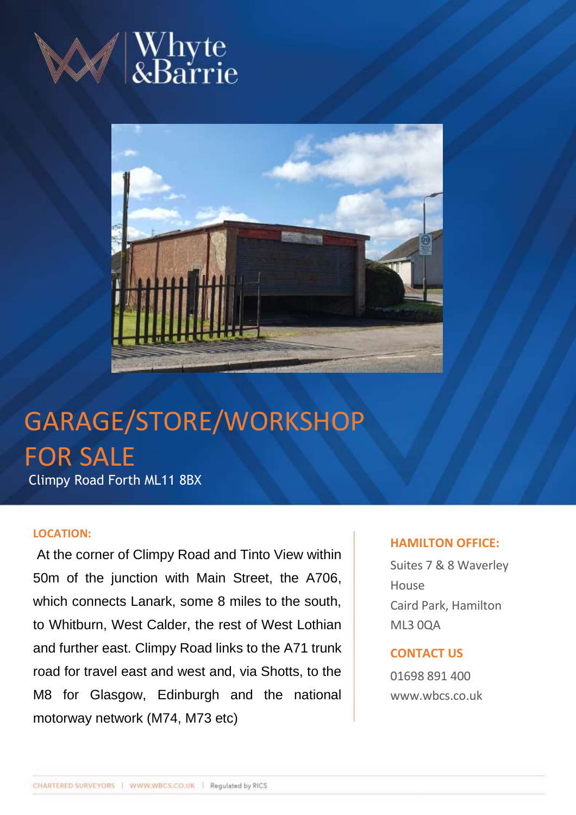





# GARAGE/STORE/WORKSHOP FOR SALE Climpy Road Forth ML11 8BX

### **LOCATION:**

At the corner of Climpy Road and Tinto View within 50m of the junction with Main Street, the A706, which connects Lanark, some 8 miles to the south, to Whitburn, West Calder, the rest of West Lothian and further east. Climpy Road links to the A71 trunk road for travel east and west and, via Shotts, to the M8 for Glasgow, Edinburgh and the national motorway network (M74, M73 etc)

## **HAMILTON OFFICE:**

Suites 7 & 8 Waverley House Caird Park, Hamilton ML3 0QA

# **CONTACT US**

01698 891 400 www.wbcs.co.uk